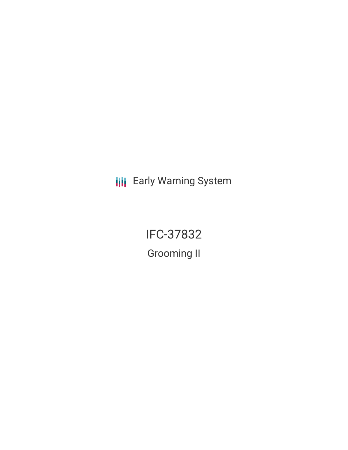**III** Early Warning System

IFC-37832 Grooming II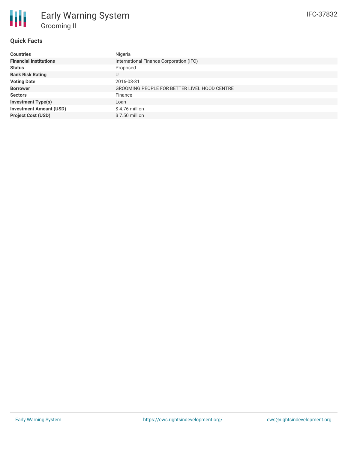# **Quick Facts**

| <b>Countries</b>               | Nigeria                                      |
|--------------------------------|----------------------------------------------|
| <b>Financial Institutions</b>  | International Finance Corporation (IFC)      |
| <b>Status</b>                  | Proposed                                     |
| <b>Bank Risk Rating</b>        | U                                            |
| <b>Voting Date</b>             | 2016-03-31                                   |
| <b>Borrower</b>                | GROOMING PEOPLE FOR BETTER LIVELIHOOD CENTRE |
| <b>Sectors</b>                 | Finance                                      |
| <b>Investment Type(s)</b>      | Loan                                         |
| <b>Investment Amount (USD)</b> | \$4.76 million                               |
| <b>Project Cost (USD)</b>      | \$7.50 million                               |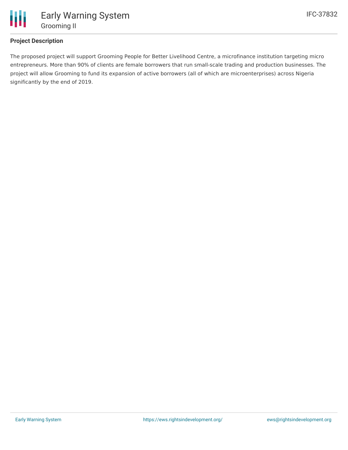

# **Project Description**

The proposed project will support Grooming People for Better Livelihood Centre, a microfinance institution targeting micro entrepreneurs. More than 90% of clients are female borrowers that run small-scale trading and production businesses. The project will allow Grooming to fund its expansion of active borrowers (all of which are microenterprises) across Nigeria significantly by the end of 2019.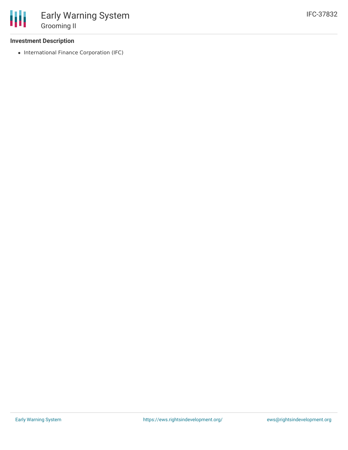### **Investment Description**

• International Finance Corporation (IFC)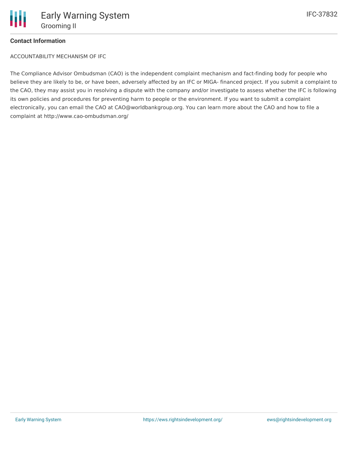

## **Contact Information**

ACCOUNTABILITY MECHANISM OF IFC

The Compliance Advisor Ombudsman (CAO) is the independent complaint mechanism and fact-finding body for people who believe they are likely to be, or have been, adversely affected by an IFC or MIGA- financed project. If you submit a complaint to the CAO, they may assist you in resolving a dispute with the company and/or investigate to assess whether the IFC is following its own policies and procedures for preventing harm to people or the environment. If you want to submit a complaint electronically, you can email the CAO at CAO@worldbankgroup.org. You can learn more about the CAO and how to file a complaint at http://www.cao-ombudsman.org/